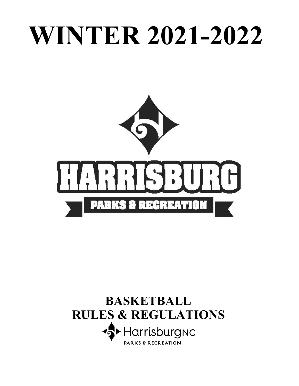# **WINTER 2021-2022**



# **BASKETBALL RULES & REGULATIONS S** Harrisburgnc **PARKS & RECREATION**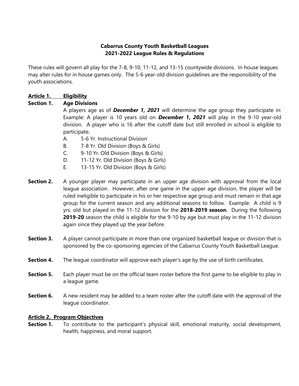# **Cabarrus County Youth Basketball Leagues 2021-2022 League Rules & Regulations**

These rules will govern all play for the 7-8, 9-10, 11-12, and 13-15 countywide divisions. In house leagues may alter rules for in house games only. The 5-6 year-old division guidelines are the responsibility of the youth associations.

# **Article 1. Eligibility**

# **Section 1. Age Divisions**

A players age as of *December 1, 2021* will determine the age group they participate in: Example: A player is 10 years old on *December 1, 2021* will play in the 9-10 year-old division. A player who is 16 after the cutoff date but still enrolled in school is eligible to participate.

- A. 5-6 Yr. Instructional Division
- B. 7-8 Yr. Old Division (Boys & Girls)
- C. 9-10 Yr. Old Division (Boys & Girls)
- D. 11-12 Yr. Old Division (Boys & Girls)
- E. 13-15 Yr. Old Division (Boys & Girls)
- **Section 2.** A younger player may participate in an upper age division with approval from the local league association. However, after one game in the upper age division, the player will be ruled ineligible to participate in his or her respective age group and must remain in that age group for the current season and any additional seasons to follow. Example: A child is 9 yrs. old but played in the 11-12 division for the **2018-2019 season**. During the following **2019-20** season the child is eligible for the 9-10 by age but must play in the 11-12 division again since they played up the year before.
- **Section 3.** A player cannot participate in more than one organized basketball league or division that is sponsored by the co-sponsoring agencies of the Cabarrus County Youth Basketball League.
- **Section 4.** The league coordinator will approve each player's age by the use of birth certificates.
- **Section 5.** Each player must be on the official team roster before the first game to be eligible to play in a league game.
- **Section 6.** A new resident may be added to a team roster after the cutoff date with the approval of the league coordinator.

# **Article 2. Program Objectives**

**Section 1.** To contribute to the participant's physical skill, emotional maturity, social development, health, happiness, and moral support.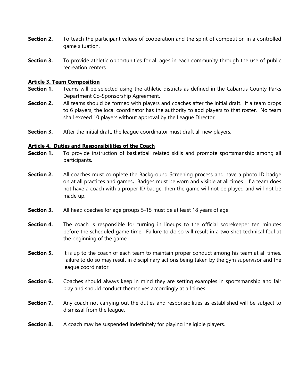- **Section 2.** To teach the participant values of cooperation and the spirit of competition in a controlled game situation.
- **Section 3.** To provide athletic opportunities for all ages in each community through the use of public recreation centers.

#### **Article 3. Team Composition**

- **Section 1.** Teams will be selected using the athletic districts as defined in the Cabarrus County Parks Department Co-Sponsorship Agreement.
- **Section 2.** All teams should be formed with players and coaches after the initial draft. If a team drops to 6 players, the local coordinator has the authority to add players to that roster. No team shall exceed 10 players without approval by the League Director.
- **Section 3.** After the initial draft, the league coordinator must draft all new players.

#### **Article 4. Duties and Responsibilities of the Coach**

- **Section 1.** To provide instruction of basketball related skills and promote sportsmanship among all participants.
- **Section 2.** All coaches must complete the Background Screening process and have a photo ID badge on at all practices and games**.** Badges must be worn and visible at all times. If a team does not have a coach with a proper ID badge, then the game will not be played and will not be made up.
- **Section 3.** All head coaches for age groups 5-15 must be at least 18 years of age.
- **Section 4.** The coach is responsible for turning in lineups to the official scorekeeper ten minutes before the scheduled game time. Failure to do so will result in a two shot technical foul at the beginning of the game.
- **Section 5.** It is up to the coach of each team to maintain proper conduct among his team at all times. Failure to do so may result in disciplinary actions being taken by the gym supervisor and the league coordinator.
- **Section 6.** Coaches should always keep in mind they are setting examples in sportsmanship and fair play and should conduct themselves accordingly at all times.
- **Section 7.** Any coach not carrying out the duties and responsibilities as established will be subject to dismissal from the league.
- **Section 8.** A coach may be suspended indefinitely for playing ineligible players.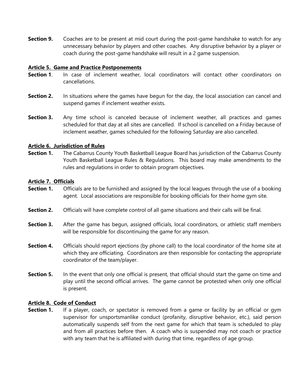**Section 9.** Coaches are to be present at mid court during the post-game handshake to watch for any unnecessary behavior by players and other coaches. Any disruptive behavior by a player or coach during the post-game handshake will result in a 2 game suspension.

#### **Article 5. Game and Practice Postponements**

- **Section 1**. In case of inclement weather, local coordinators will contact other coordinators on cancellations.
- **Section 2.** In situations where the games have begun for the day, the local association can cancel and suspend games if inclement weather exists.
- **Section 3.** Any time school is canceled because of inclement weather, all practices and games scheduled for that day at all sites are cancelled. If school is cancelled on a Friday because of inclement weather, games scheduled for the following Saturday are also cancelled.

# **Article 6. Jurisdiction of Rules**

**Section 1.** The Cabarrus County Youth Basketball League Board has jurisdiction of the Cabarrus County Youth Basketball League Rules & Regulations. This board may make amendments to the rules and regulations in order to obtain program objectives.

# **Article 7. Officials**

- **Section 1.** Officials are to be furnished and assigned by the local leagues through the use of a booking agent. Local associations are responsible for booking officials for their home gym site.
- **Section 2.** Officials will have complete control of all game situations and their calls will be final.
- **Section 3.** After the game has begun, assigned officials, local coordinators, or athletic staff members will be responsible for discontinuing the game for any reason.
- **Section 4.** Officials should report ejections (by phone call) to the local coordinator of the home site at which they are officiating. Coordinators are then responsible for contacting the appropriate coordinator of the team/player.
- **Section 5.** In the event that only one official is present, that official should start the game on time and play until the second official arrives. The game cannot be protested when only one official is present.

#### **Article 8. Code of Conduct**

**Section 1.** If a player, coach, or spectator is removed from a game or facility by an official or gym supervisor for unsportsmanlike conduct (profanity, disruptive behavior, etc.), said person automatically suspends self from the next game for which that team is scheduled to play and from all practices before then. A coach who is suspended may not coach or practice with any team that he is affiliated with during that time, regardless of age group.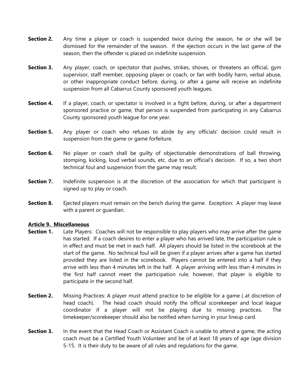- **Section 2.** Any time a player or coach is suspended twice during the season, he or she will be dismissed for the remainder of the season. If the ejection occurs in the last game of the season, then the offender is placed on indefinite suspension.
- **Section 3.** Any player, coach, or spectator that pushes, strikes, shoves, or threatens an official, gym supervisor, staff member, opposing player or coach, or fan with bodily harm, verbal abuse, or other inappropriate conduct before, during, or after a game will receive an indefinite suspension from all Cabarrus County sponsored youth leagues.
- **Section 4.** If a player, coach, or spectator is involved in a fight before, during, or after a department sponsored practice or game, that person is suspended from participating in any Cabarrus County sponsored youth league for one year.
- **Section 5.** Any player or coach who refuses to abide by any officials' decision could result in suspension from the game or game forfeiture.
- **Section 6.** No player or coach shall be quilty of objectionable demonstrations of ball throwing, stomping, kicking, loud verbal sounds, etc. due to an official's decision. If so, a two short technical foul and suspension from the game may result.
- **Section 7.** Indefinite suspension is at the discretion of the association for which that participant is signed up to play or coach.
- **Section 8.** Ejected players must remain on the bench during the game. Exception: A player may leave with a parent or guardian.

#### **Article 9. Miscellaneous**

- **Section 1.** Late Players: Coaches will not be responsible to play players who may arrive after the game has started. If a coach desires to enter a player who has arrived late, the participation rule is in effect and must be met in each half. All players should be listed in the scorebook at the start of the game. No technical foul will be given if a player arrives after a game has started provided they are listed in the scorebook. Players cannot be entered into a half if they arrive with less than 4 minutes left in the half. A player arriving with less than 4 minutes in the first half cannot meet the participation rule; however, that player is eligible to participate in the second half.
- **Section 2.** Missing Practices: A player must attend practice to be eligible for a game (at discretion of head coach). The head coach should notify the official scorekeeper and local league coordinator if a player will not be playing due to missing practices. The timekeeper/scorekeeper should also be notified when turning in your lineup card.
- **Section 3.** In the event that the Head Coach or Assistant Coach is unable to attend a game, the acting coach must be a Certified Youth Volunteer and be of at least 18 years of age (age division 5-15. It is their duty to be aware of all rules and regulations for the game.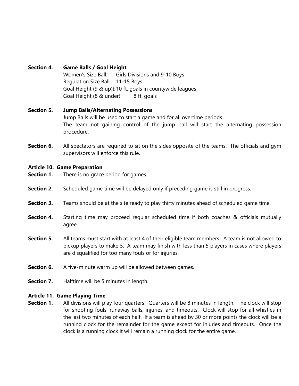# **Section 4. Game Balls / Goal Height**

Women's Size Ball: Girls Divisions and 9-10 Boys Regulation Size Ball: 11-15 Boys Goal Height (9 & up)):10 ft. goals in countywide leagues Goal Height (8 & under): 8 ft. goals

# **Section 5. Jump Balls/Alternating Possessions** Jump Balls will be used to start a game and for all overtime periods. The team not gaining control of the jump ball will start the alternating possession procedure.

**Section 6.** All spectators are required to sit on the sides opposite of the teams. The officials and gym supervisors will enforce this rule.

# **Article 10. Game Preparation**

- **Section 1.** There is no grace period for games.
- **Section 2.** Scheduled game time will be delayed only if preceding game is still in progress.
- **Section 3.** Teams should be at the site ready to play thirty minutes ahead of scheduled game time.
- **Section 4.** Starting time may proceed regular scheduled time if both coaches & officials mutually agree.
- **Section 5.** All teams must start with at least 4 of their eligible team members. A team is not allowed to pickup players to make 5. A team may finish with less than 5 players in cases where players are disqualified for too many fouls or for injuries.
- **Section 6.** A five-minute warm up will be allowed between games.
- **Section 7.** Halftime will be 5 minutes in length.

#### **Article 11. Game Playing Time**

**Section 1.** All divisions will play four quarters. Quarters will be 8 minutes in length. The clock will stop for shooting fouls, runaway balls, injuries, and timeouts. Clock will stop for all whistles in the last two minutes of each half. If a team is ahead by 30 or more points the clock will be a running clock for the remainder for the game except for injuries and timeouts. Once the clock is a running clock it will remain a running clock for the entire game.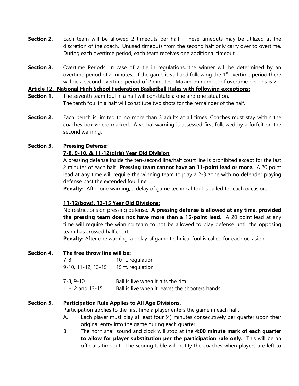- **Section 2.** Each team will be allowed 2 timeouts per half. These timeouts may be utilized at the discretion of the coach. Unused timeouts from the second half only carry over to overtime. During each overtime period, each team receives one additional timeout.
- **Section 3.** Overtime Periods: In case of a tie in regulations, the winner will be determined by an overtime period of 2 minutes. If the game is still tied following the  $1<sup>st</sup>$  overtime period there will be a second overtime period of 2 minutes. Maximum number of overtime periods is 2.

**Article 12. National High School Federation Basketball Rules with following exceptions:**

- **Section 1.** The seventh team foul in a half will constitute a one and one situation. The tenth foul in a half will constitute two shots for the remainder of the half.
- **Section 2.** Each bench is limited to no more than 3 adults at all times. Coaches must stay within the coaches box where marked. A verbal warning is assessed first followed by a forfeit on the second warning.

#### **Section 3. Pressing Defense:**

# **7-8, 9-10, & 11-12(girls) Year Old Division**:

A pressing defense inside the ten-second line/half court line is prohibited except for the last 2 minutes of each half. **Pressing team cannot have an 11-point lead or more.** A 20 point lead at any time will require the winning team to play a 2-3 zone with no defender playing defense past the extended foul line.

**Penalty:** After one warning, a delay of game technical foul is called for each occasion.

# **11-12(boys), 13-15 Year Old Divisions:**

No restrictions on pressing defense. **A pressing defense is allowed at any time, provided the pressing team does not have more than a 15-point lead.** A 20 point lead at any time will require the winning team to not be allowed to play defense until the opposing team has crossed half court.

**Penalty:** After one warning, a delay of game technical foul is called for each occasion.

**Section 4. The free throw line will be:**

| 7-8                | 10 ft. regulation                               |
|--------------------|-------------------------------------------------|
| 9-10, 11-12, 13-15 | 15 ft. regulation                               |
| 7-8, 9-10          | Ball is live when it hits the rim.              |
| 11-12 and 13-15    | Ball is live when it leaves the shooters hands. |

#### **Section 5. Participation Rule Applies to All Age Divisions.**

Participation applies to the first time a player enters the game in each half.

- A. Each player must play at least four (4) minutes consecutively per quarter upon their original entry into the game during each quarter.
- B. The horn shall sound and clock will stop at the **4:00 minute mark of each quarter to allow for player substitution per the participation rule only.** This will be an official's timeout. The scoring table will notify the coaches when players are left to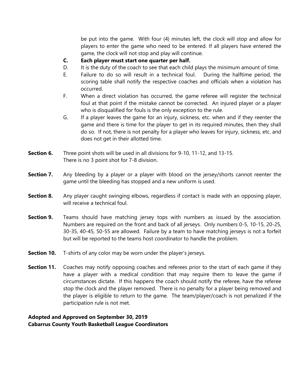be put into the game. With four (4) minutes left, the clock will stop and allow for players to enter the game who need to be entered. If all players have entered the game, the clock will not stop and play will continue.

- **C. Each player must start one quarter per half.**
- D. It is the duty of the coach to see that each child plays the minimum amount of time.
- E. Failure to do so will result in a technical foul. During the halftime period, the scoring table shall notify the respective coaches and officials when a violation has occurred.
- F. When a direct violation has occurred, the game referee will register the technical foul at that point if the mistake cannot be corrected. An injured player or a player who is disqualified for fouls is the only exception to the rule.
- G. If a player leaves the game for an injury, sickness, etc. when and if they reenter the game and there is time for the player to get in its required minutes, then they shall do so. If not, there is not penalty for a player who leaves for injury, sickness, etc. and does not get in their allotted time.
- **Section 6.** Three point shots will be used in all divisions for 9-10, 11-12, and 13-15. There is no 3 point shot for 7-8 division.
- **Section 7.** Any bleeding by a player or a player with blood on the jersey/shorts cannot reenter the game until the bleeding has stopped and a new uniform is used.
- **Section 8.** Any player caught swinging elbows, regardless if contact is made with an opposing player, will receive a technical foul.
- **Section 9.** Teams should have matching jersey tops with numbers as issued by the association. Numbers are required on the front and back of all jerseys. Only numbers 0-5, 10-15, 20-25, 30-35, 40-45, 50-55 are allowed. Failure by a team to have matching jerseys is not a forfeit but will be reported to the teams host coordinator to handle the problem.
- **Section 10.** T-shirts of any color may be worn under the player's jerseys.
- **Section 11.** Coaches may notify opposing coaches and referees prior to the start of each game if they have a player with a medical condition that may require them to leave the game if circumstances dictate. If this happens the coach should notify the referee, have the referee stop the clock and the player removed. There is no penalty for a player being removed and the player is eligible to return to the game. The team/player/coach is not penalized if the participation rule is not met.

# **Adopted and Approved on September 30, 2019 Cabarrus County Youth Basketball League Coordinators**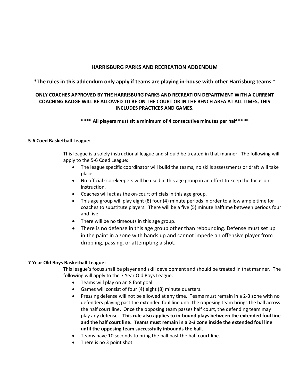#### **HARRISBURG PARKS AND RECREATION ADDENDUM**

**\*The rules in this addendum only apply if teams are playing in-house with other Harrisburg teams \***

#### **ONLY COACHES APPROVED BY THE HARRISBURG PARKS AND RECREATION DEPARTMENT WITH A CURRENT COACHING BADGE WILL BE ALLOWED TO BE ON THE COURT OR IN THE BENCH AREA AT ALL TIMES, THIS INCLUDES PRACTICES AND GAMES.**

#### **\*\*\*\* All players must sit a minimum of 4 consecutive minutes per half \*\*\*\***

#### **5-6 Coed Basketball League:**

This league is a solely instructional league and should be treated in that manner. The following will apply to the 5-6 Coed League:

- The league specific coordinator will build the teams, no skills assessments or draft will take place.
- No official scorekeepers will be used in this age group in an effort to keep the focus on instruction.
- Coaches will act as the on-court officials in this age group.
- This age group will play eight (8) four (4) minute periods in order to allow ample time for coaches to substitute players. There will be a five (5) minute halftime between periods four and five.
- There will be no timeouts in this age group.
- There is no defense in this age group other than rebounding. Defense must set up in the paint in a zone with hands up and cannot impede an offensive player from dribbling, passing, or attempting a shot.

#### **7 Year Old Boys Basketball League:**

This league's focus shall be player and skill development and should be treated in that manner. The following will apply to the 7 Year Old Boys League:

- Teams will play on an 8 foot goal.
- Games will consist of four (4) eight (8) minute quarters.
- Pressing defense will not be allowed at any time. Teams must remain in a 2-3 zone with no defenders playing past the extended foul line until the opposing team brings the ball across the half court line. Once the opposing team passes half court, the defending team may play any defense. **This rule also applies to in-bound plays between the extended foul line and the half court line. Teams must remain in a 2-3 zone inside the extended foul line until the opposing team successfully inbounds the ball.**
- Teams have 10 seconds to bring the ball past the half court line.
- There is no 3 point shot.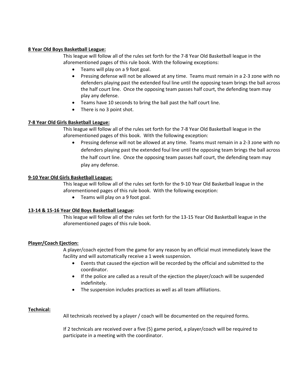#### **8 Year Old Boys Basketball League:**

This league will follow all of the rules set forth for the 7-8 Year Old Basketball league in the aforementioned pages of this rule book. With the following exceptions:

- Teams will play on a 9 foot goal.
- Pressing defense will not be allowed at any time. Teams must remain in a 2-3 zone with no defenders playing past the extended foul line until the opposing team brings the ball across the half court line. Once the opposing team passes half court, the defending team may play any defense.
- Teams have 10 seconds to bring the ball past the half court line.
- There is no 3 point shot.

#### **7-8 Year Old Girls Basketball League:**

This league will follow all of the rules set forth for the 7-8 Year Old Basketball league in the aforementioned pages of this book. With the following exception:

• Pressing defense will not be allowed at any time. Teams must remain in a 2-3 zone with no defenders playing past the extended foul line until the opposing team brings the ball across the half court line. Once the opposing team passes half court, the defending team may play any defense.

#### **9-10 Year Old Girls Basketball League:**

This league will follow all of the rules set forth for the 9-10 Year Old Basketball league in the aforementioned pages of this rule book. With the following exception:

• Teams will play on a 9 foot goal.

#### **13-14 & 15-16 Year Old Boys Basketball League:**

This league will follow all of the rules set forth for the 13-15 Year Old Basketball league in the aforementioned pages of this rule book.

#### **Player/Coach Ejection:**

A player/coach ejected from the game for any reason by an official must immediately leave the facility and will automatically receive a 1 week suspension.

- Events that caused the ejection will be recorded by the official and submitted to the coordinator.
- If the police are called as a result of the ejection the player/coach will be suspended indefinitely.
- The suspension includes practices as well as all team affiliations.

#### **Technical:**

All technicals received by a player / coach will be documented on the required forms.

If 2 technicals are received over a five (5) game period, a player/coach will be required to participate in a meeting with the coordinator.